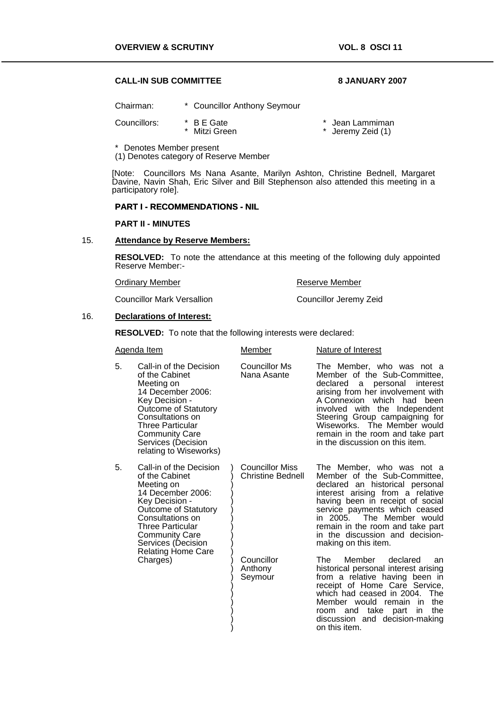## **CALL-IN SUB COMMITTEE 8 JANUARY 2007**

Chairman: \* Councillor Anthony Seymour Councillors: \* B E Gate \* Mitzi Green \* Jean Lammiman \* Jeremy Zeid (1)

\* Denotes Member present

(1) Denotes category of Reserve Member

[Note: Councillors Ms Nana Asante, Marilyn Ashton, Christine Bednell, Margaret Davine, Navin Shah, Eric Silver and Bill Stephenson also attended this meeting in a participatory role].

# **PART I - RECOMMENDATIONS - NIL**

#### **PART II - MINUTES**

#### 15. **Attendance by Reserve Members:**

**RESOLVED:** To note the attendance at this meeting of the following duly appointed Reserve Member:-

| <b>Ordinary Member</b>            | Reserve Member         |
|-----------------------------------|------------------------|
| <b>Councillor Mark Versallion</b> | Councillor Jeremy Zeid |

#### 16. **Declarations of Interest:**

**RESOLVED:** To note that the following interests were declared:

| Agenda Item                                                                                                                                                                                                                                                         |                                                                                                                                                                                                                                                | Member                                                                                                                                                                                                                                                                                                      | Nature of Interest                                                                                                                                                                                                                                                                                                                                     |
|---------------------------------------------------------------------------------------------------------------------------------------------------------------------------------------------------------------------------------------------------------------------|------------------------------------------------------------------------------------------------------------------------------------------------------------------------------------------------------------------------------------------------|-------------------------------------------------------------------------------------------------------------------------------------------------------------------------------------------------------------------------------------------------------------------------------------------------------------|--------------------------------------------------------------------------------------------------------------------------------------------------------------------------------------------------------------------------------------------------------------------------------------------------------------------------------------------------------|
| 5.                                                                                                                                                                                                                                                                  | Call-in of the Decision<br>of the Cabinet<br>Meeting on<br>14 December 2006:<br>Key Decision -<br><b>Outcome of Statutory</b><br>Consultations on<br>Three Particular<br><b>Community Care</b><br>Services (Decision<br>relating to Wiseworks) | <b>Councillor Ms</b><br>Nana Asante                                                                                                                                                                                                                                                                         | The Member, who was not a<br>Member of the Sub-Committee,<br>declared<br>personal<br>interest<br>a i<br>arising from her involvement with<br>A Connexion which<br>had<br>been<br>involved with the Independent<br>Steering Group campaigning for<br>Wiseworks. The Member would<br>remain in the room and take part<br>in the discussion on this item. |
| Call-in of the Decision<br>5.<br>of the Cabinet<br>Meeting on<br>14 December 2006:<br>Key Decision -<br><b>Outcome of Statutory</b><br>Consultations on<br>Three Particular<br><b>Community Care</b><br>Services (Decision<br><b>Relating Home Care</b><br>Charges) |                                                                                                                                                                                                                                                | <b>Councillor Miss</b><br><b>Christine Bednell</b>                                                                                                                                                                                                                                                          | The Member, who was not a<br>Member of the Sub-Committee,<br>declared an historical personal<br>interest arising from a relative<br>having been in receipt of social<br>service payments which ceased<br>in 2005. The Member would<br>remain in the room and take part<br>in the discussion and decision-<br>making on this item.                      |
|                                                                                                                                                                                                                                                                     | Councillor<br>Anthony<br>Seymour                                                                                                                                                                                                               | Member<br>declared<br>The l<br>an<br>historical personal interest arising<br>from a relative having been in<br>receipt of Home Care Service,<br>which had ceased in 2004.<br>The<br>the<br>Member would remain in<br>the<br>take part<br>room and<br>in.<br>discussion and decision-making<br>on this item. |                                                                                                                                                                                                                                                                                                                                                        |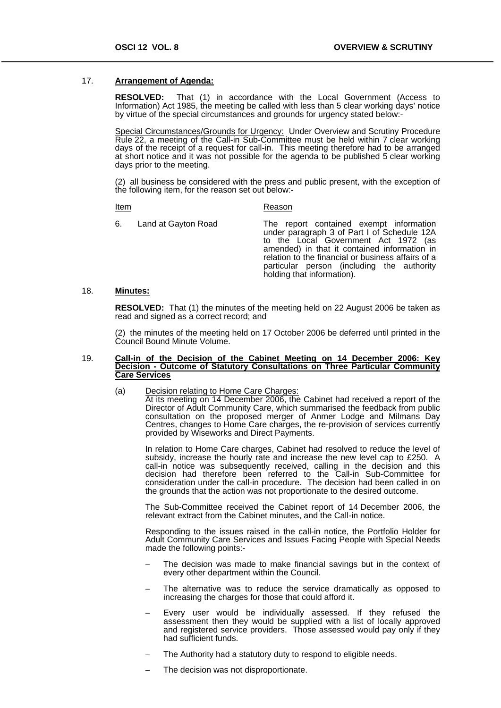### 17. **Arrangement of Agenda:**

**RESOLVED:** That (1) in accordance with the Local Government (Access to Information) Act 1985, the meeting be called with less than 5 clear working days' notice by virtue of the special circumstances and grounds for urgency stated below:-

Special Circumstances/Grounds for Urgency: Under Overview and Scrutiny Procedure Rule 22, a meeting of the Call-in Sub-Committee must be held within 7 clear working days of the receipt of a request for call-in. This meeting therefore had to be arranged at short notice and it was not possible for the agenda to be published 5 clear working days prior to the meeting.

(2) all business be considered with the press and public present, with the exception of the following item, for the reason set out below:-

**Item** 

<u>Item</u> Reason

6. Land at Gayton Road The report contained exempt information under paragraph 3 of Part I of Schedule 12A to the Local Government Act 1972 (as amended) in that it contained information in relation to the financial or business affairs of a particular person (including the authority holding that information).

## 18. **Minutes:**

**RESOLVED:** That (1) the minutes of the meeting held on 22 August 2006 be taken as read and signed as a correct record; and

(2) the minutes of the meeting held on 17 October 2006 be deferred until printed in the Council Bound Minute Volume.

#### 19. **Call-in of the Decision of the Cabinet Meeting on 14 December 2006: Key Decision - Outcome of Statutory Consultations on Three Particular Community Care Services**

(a) Decision relating to Home Care Charges:<br>At its meeting on 14 December 2006, the Cabinet had received a report of the Director of Adult Community Care, which summarised the feedback from public consultation on the proposed merger of Anmer Lodge and Milmans Day Centres, changes to Home Care charges, the re-provision of services currently provided by Wiseworks and Direct Payments. İ

In relation to Home Care charges, Cabinet had resolved to reduce the level of subsidy, increase the hourly rate and increase the new level cap to £250. A call-in notice was subsequently received, calling in the decision and this decision had therefore been referred to the Call-in Sub-Committee for consideration under the call-in procedure. The decision had been called in on the grounds that the action was not proportionate to the desired outcome.

The Sub-Committee received the Cabinet report of 14 December 2006, the relevant extract from the Cabinet minutes, and the Call-in notice.

Responding to the issues raised in the call-in notice, the Portfolio Holder for Adult Community Care Services and Issues Facing People with Special Needs made the following points:-

- The decision was made to make financial savings but in the context of every other department within the Council.
- The alternative was to reduce the service dramatically as opposed to increasing the charges for those that could afford it.
- Every user would be individually assessed. If they refused the assessment then they would be supplied with a list of locally approved and registered service providers. Those assessed would pay only if they had sufficient funds.
- The Authority had a statutory duty to respond to eligible needs.
- The decision was not disproportionate.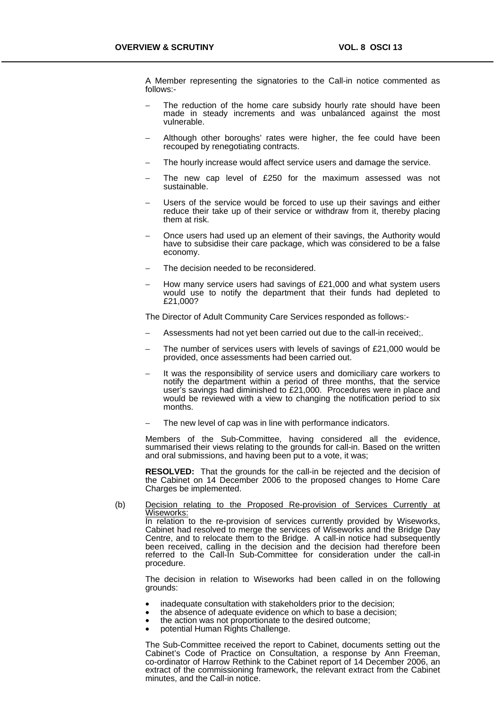A Member representing the signatories to the Call-in notice commented as follows:-

- The reduction of the home care subsidy hourly rate should have been made in steady increments and was unbalanced against the most vulnerable.
- Although other boroughs' rates were higher, the fee could have been recouped by renegotiating contracts.
- The hourly increase would affect service users and damage the service.
- The new cap level of £250 for the maximum assessed was not sustainable.
- Users of the service would be forced to use up their savings and either reduce their take up of their service or withdraw from it, thereby placing them at risk.
- − Once users had used up an element of their savings, the Authority would have to subsidise their care package, which was considered to be a false economy.
- The decision needed to be reconsidered.
- How many service users had savings of £21,000 and what system users would use to notify the department that their funds had depleted to £21,000?

The Director of Adult Community Care Services responded as follows:-

- − Assessments had not yet been carried out due to the call-in received;.
- The number of services users with levels of savings of £21,000 would be provided, once assessments had been carried out.
- It was the responsibility of service users and domiciliary care workers to notify the department within a period of three months, that the service user's savings had diminished to £21,000. Procedures were in place and would be reviewed with a view to changing the notification period to six months.
- The new level of cap was in line with performance indicators.

Members of the Sub-Committee, having considered all the evidence, summarised their views relating to the grounds for call-in. Based on the written and oral submissions, and having been put to a vote, it was;

**RESOLVED:** That the grounds for the call-in be rejected and the decision of the Cabinet on 14 December 2006 to the proposed changes to Home Care Charges be implemented.

(b) Decision relating to the Proposed Re-provision of Services Currently at Wiseworks:

In relation to the re-provision of services currently provided by Wiseworks, Cabinet had resolved to merge the services of Wiseworks and the Bridge Day Centre, and to relocate them to the Bridge. A call-in notice had subsequently been received, calling in the decision and the decision had therefore been referred to the Call-In Sub-Committee for consideration under the call-in procedure.

The decision in relation to Wiseworks had been called in on the following grounds:

- inadequate consultation with stakeholders prior to the decision;
- the absence of adequate evidence on which to base a decision;
- the action was not proportionate to the desired outcome; potential Human Rights Challenge.
- 

The Sub-Committee received the report to Cabinet, documents setting out the Cabinet's Code of Practice on Consultation, a response by Ann Freeman, co-ordinator of Harrow Rethink to the Cabinet report of 14 December 2006, an extract of the commissioning framework, the relevant extract from the Cabinet minutes, and the Call-in notice.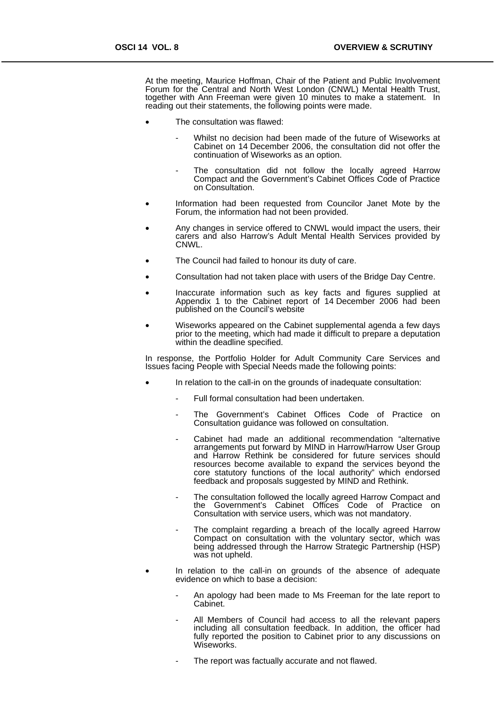At the meeting, Maurice Hoffman, Chair of the Patient and Public Involvement Forum for the Central and North West London (CNWL) Mental Health Trust, together with Ann Freeman were given 10 minutes to make a statement. In reading out their statements, the following points were made.

- The consultation was flawed:
	- Whilst no decision had been made of the future of Wiseworks at Cabinet on 14 December 2006, the consultation did not offer the continuation of Wiseworks as an option.
	- The consultation did not follow the locally agreed Harrow Compact and the Government's Cabinet Offices Code of Practice on Consultation.
- Information had been requested from Councilor Janet Mote by the Forum, the information had not been provided.
- Any changes in service offered to CNWL would impact the users, their carers and also Harrow's Adult Mental Health Services provided by CNWL.
- The Council had failed to honour its duty of care.
- Consultation had not taken place with users of the Bridge Day Centre.
- Inaccurate information such as key facts and figures supplied at Appendix 1 to the Cabinet report of 14 December 2006 had been published on the Council's website
- Wiseworks appeared on the Cabinet supplemental agenda a few days prior to the meeting, which had made it difficult to prepare a deputation within the deadline specified.

In response, the Portfolio Holder for Adult Community Care Services and Issues facing People with Special Needs made the following points:

- In relation to the call-in on the grounds of inadequate consultation:
	- Full formal consultation had been undertaken.
	- The Government's Cabinet Offices Code of Practice on Consultation guidance was followed on consultation.
	- Cabinet had made an additional recommendation "alternative arrangements put forward by MIND in Harrow/Harrow User Group and Harrow Rethink be considered for future services should resources become available to expand the services beyond the core statutory functions of the local authority" which endorsed feedback and proposals suggested by MIND and Rethink.
	- The consultation followed the locally agreed Harrow Compact and the Government's Cabinet Offices Code of Practice on Consultation with service users, which was not mandatory.
	- The complaint regarding a breach of the locally agreed Harrow Compact on consultation with the voluntary sector, which was being addressed through the Harrow Strategic Partnership (HSP) was not upheld.
- In relation to the call-in on grounds of the absence of adequate evidence on which to base a decision:
	- An apology had been made to Ms Freeman for the late report to Cabinet.
	- All Members of Council had access to all the relevant papers including all consultation feedback. In addition, the officer had fully reported the position to Cabinet prior to any discussions on Wiseworks.
	- The report was factually accurate and not flawed.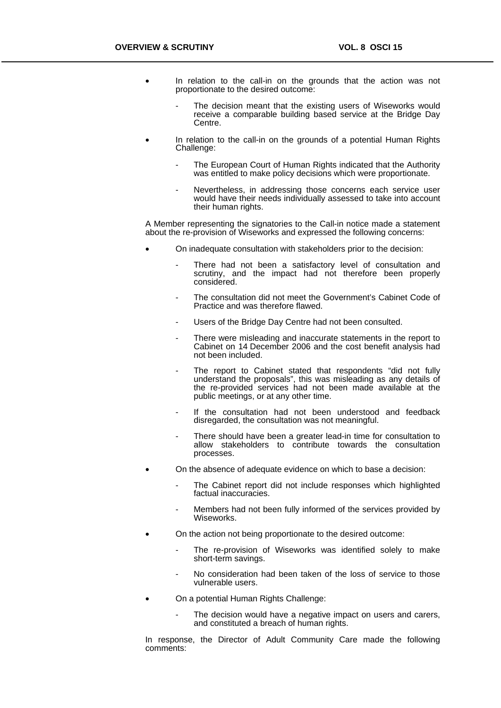- In relation to the call-in on the grounds that the action was not proportionate to the desired outcome:
	- The decision meant that the existing users of Wiseworks would receive a comparable building based service at the Bridge Day Centre.
- In relation to the call-in on the grounds of a potential Human Rights Challenge:
	- The European Court of Human Rights indicated that the Authority was entitled to make policy decisions which were proportionate.
	- Nevertheless, in addressing those concerns each service user would have their needs individually assessed to take into account their human rights.

A Member representing the signatories to the Call-in notice made a statement about the re-provision of Wiseworks and expressed the following concerns:

- On inadequate consultation with stakeholders prior to the decision:
	- There had not been a satisfactory level of consultation and scrutiny, and the impact had not therefore been properly considered.
	- The consultation did not meet the Government's Cabinet Code of Practice and was therefore flawed.
	- Users of the Bridge Day Centre had not been consulted.
	- There were misleading and inaccurate statements in the report to Cabinet on 14 December 2006 and the cost benefit analysis had not been included.
	- The report to Cabinet stated that respondents "did not fully understand the proposals", this was misleading as any details of the re-provided services had not been made available at the public meetings, or at any other time.
	- If the consultation had not been understood and feedback disregarded, the consultation was not meaningful.
	- There should have been a greater lead-in time for consultation to allow stakeholders to contribute towards the consultation processes.
- On the absence of adequate evidence on which to base a decision:
	- The Cabinet report did not include responses which highlighted factual inaccuracies.
	- Members had not been fully informed of the services provided by Wiseworks.
- On the action not being proportionate to the desired outcome:
	- The re-provision of Wiseworks was identified solely to make short-term savings.
	- No consideration had been taken of the loss of service to those vulnerable users.
- On a potential Human Rights Challenge:
	- The decision would have a negative impact on users and carers, and constituted a breach of human rights.

In response, the Director of Adult Community Care made the following comments: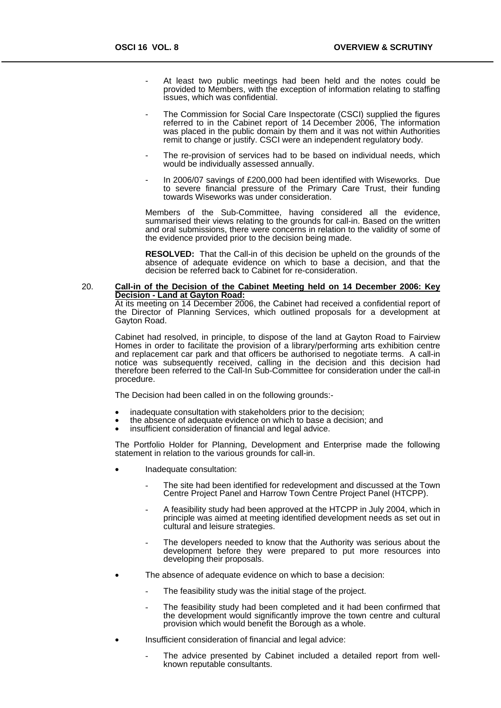- At least two public meetings had been held and the notes could be provided to Members, with the exception of information relating to staffing issues, which was confidential.
- The Commission for Social Care Inspectorate (CSCI) supplied the figures referred to in the Cabinet report of 14 December 2006, The information was placed in the public domain by them and it was not within Authorities remit to change or justify. CSCI were an independent regulatory body.
- The re-provision of services had to be based on individual needs, which would be individually assessed annually.
- In 2006/07 savings of £200,000 had been identified with Wiseworks. Due to severe financial pressure of the Primary Care Trust, their funding towards Wiseworks was under consideration.

Members of the Sub-Committee, having considered all the evidence, summarised their views relating to the grounds for call-in. Based on the written and oral submissions, there were concerns in relation to the validity of some of the evidence provided prior to the decision being made.

**RESOLVED:** That the Call-in of this decision be upheld on the grounds of the absence of adequate evidence on which to base a decision, and that the decision be referred back to Cabinet for re-consideration.

# 20. **Call-in of the Decision of the Cabinet Meeting held on 14 December 2006: Key**

At its meeting on 14 December 2006, the Cabinet had received a confidential report of the Director of Planning Services, which outlined proposals for a development at Gayton Road.

Cabinet had resolved, in principle, to dispose of the land at Gayton Road to Fairview Homes in order to facilitate the provision of a library/performing arts exhibition centre and replacement car park and that officers be authorised to negotiate terms. A call-in notice was subsequently received, calling in the decision and this decision had therefore been referred to the Call-In Sub-Committee for consideration under the call-in procedure. İ

The Decision had been called in on the following grounds:-

- inadequate consultation with stakeholders prior to the decision;
- the absence of adequate evidence on which to base a decision; and
- insufficient consideration of financial and legal advice.

The Portfolio Holder for Planning, Development and Enterprise made the following statement in relation to the various grounds for call-in.

- Inadequate consultation:
	- The site had been identified for redevelopment and discussed at the Town Centre Project Panel and Harrow Town Centre Project Panel (HTCPP).
	- A feasibility study had been approved at the HTCPP in July 2004, which in principle was aimed at meeting identified development needs as set out in cultural and leisure strategies.
	- The developers needed to know that the Authority was serious about the development before they were prepared to put more resources into developing their proposals.
- The absence of adequate evidence on which to base a decision:
	- The feasibility study was the initial stage of the project.
	- The feasibility study had been completed and it had been confirmed that the development would significantly improve the town centre and cultural provision which would benefit the Borough as a whole.
- Insufficient consideration of financial and legal advice:
	- The advice presented by Cabinet included a detailed report from wellknown reputable consultants.